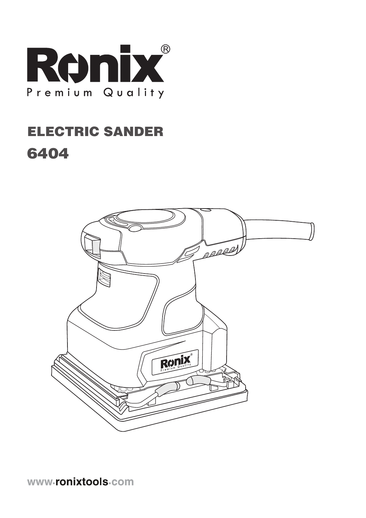

# ELECTRIC SANDER 6404

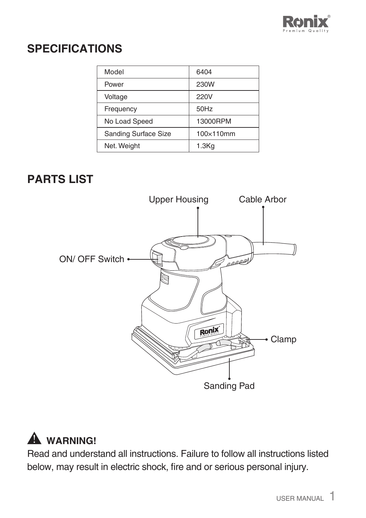

### **SPECIFICATIONS**

| Model                       | 6404              |
|-----------------------------|-------------------|
| Power                       | 230W              |
| Voltage                     | 220V              |
| Frequency                   | 50Hz              |
| No Load Speed               | 13000RPM          |
| <b>Sanding Surface Size</b> | 100×110mm         |
| Net. Weight                 | 1.3 <sub>Kg</sub> |

### **PARTS LIST**



## **WARNING!**

Read and understand all instructions. Failure to follow all instructions listed below, may result in electric shock, fire and or serious personal injury.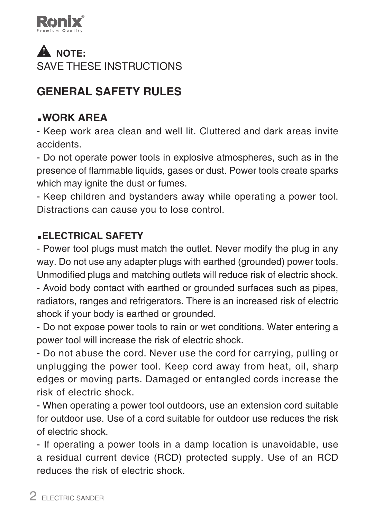

## **A** NOTE: SAVE THESE INSTRUCTIONS

## **GENERAL SAFETY RULES**

### **.WORK AREA**

- Keep work area clean and well lit. Cluttered and dark areas invite accidents.

- Do not operate power tools in explosive atmospheres, such as in the presence of flammable liquids, gases or dust. Power tools create sparks which may ignite the dust or fumes.

- Keep children and bystanders away while operating a power tool. Distractions can cause you to lose control.

#### **.ELECTRICAL SAFETY**

- Power tool plugs must match the outlet. Never modify the plug in any way. Do not use any adapter plugs with earthed (grounded) power tools. Unmodified plugs and matching outlets will reduce risk of electric shock.

- Avoid body contact with earthed or grounded surfaces such as pipes, radiators, ranges and refrigerators. There is an increased risk of electric shock if your body is earthed or grounded.

- Do not expose power tools to rain or wet conditions. Water entering a power tool will increase the risk of electric shock.

- Do not abuse the cord. Never use the cord for carrying, pulling or unplugging the power tool. Keep cord away from heat, oil, sharp edges or moving parts. Damaged or entangled cords increase the risk of electric shock.

- When operating a power tool outdoors, use an extension cord suitable for outdoor use. Use of a cord suitable for outdoor use reduces the risk of electric shock.

- If operating a power tools in a damp location is unavoidable, use a residual current device (RCD) protected supply. Use of an RCD reduces the risk of electric shock.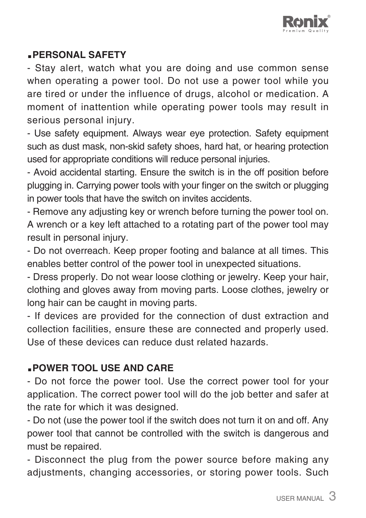

#### **.PERSONAL SAFETY**

- Stay alert, watch what you are doing and use common sense when operating a power tool. Do not use a power tool while you are tired or under the influence of drugs, alcohol or medication. A moment of inattention while operating power tools may result in serious personal injury.

- Use safety equipment. Always wear eye protection. Safety equipment such as dust mask, non-skid safety shoes, hard hat, or hearing protection used for appropriate conditions will reduce personal injuries.

- Avoid accidental starting. Ensure the switch is in the off position before plugging in. Carrying power tools with your finger on the switch or plugging in power tools that have the switch on invites accidents.

- Remove any adjusting key or wrench before turning the power tool on. A wrench or a key left attached to a rotating part of the power tool may result in personal injury.

- Do not overreach. Keep proper footing and balance at all times. This enables better control of the power tool in unexpected situations.

- Dress properly. Do not wear loose clothing or jewelry. Keep your hair, clothing and gloves away from moving parts. Loose clothes, jewelry or long hair can be caught in moving parts.

- If devices are provided for the connection of dust extraction and collection facilities, ensure these are connected and properly used. Use of these devices can reduce dust related hazards.

#### **.POWER TOOL USE AND CARE**

- Do not force the power tool. Use the correct power tool for your application. The correct power tool will do the job better and safer at the rate for which it was designed.

- Do not (use the power tool if the switch does not turn it on and off. Any power tool that cannot be controlled with the switch is dangerous and must be repaired.

- Disconnect the plug from the power source before making any adjustments, changing accessories, or storing power tools. Such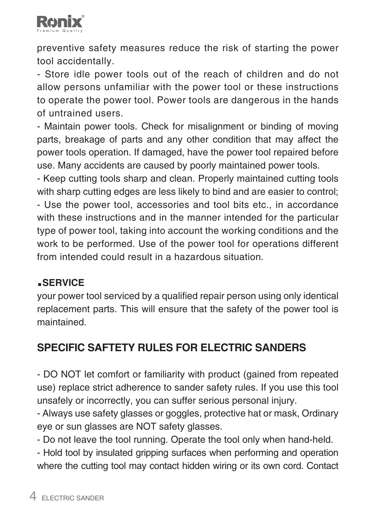

preventive safety measures reduce the risk of starting the power tool accidentally.

- Store idle power tools out of the reach of children and do not allow persons unfamiliar with the power tool or these instructions to operate the power tool. Power tools are dangerous in the hands of untrained users.

- Maintain power tools. Check for misalignment or binding of moving parts, breakage of parts and any other condition that may affect the power tools operation. If damaged, have the power tool repaired before use. Many accidents are caused by poorly maintained power tools.

- Keep cutting tools sharp and clean. Properly maintained cutting tools with sharp cutting edges are less likely to bind and are easier to control; - Use the power tool, accessories and tool bits etc., in accordance with these instructions and in the manner intended for the particular type of power tool, taking into account the working conditions and the work to be performed. Use of the power tool for operations different from intended could result in a hazardous situation.

#### **.SERVICE**

your power tool serviced by a qualified repair person using only identical replacement parts. This will ensure that the safety of the power tool is maintained.

### **SPECIFIC SAFTETY RULES FOR ELECTRIC SANDERS**

- DO NOT let comfort or familiarity with product (gained from repeated use) replace strict adherence to sander safety rules. If you use this tool unsafely or incorrectly, you can suffer serious personal injury.

- Always use safety glasses or goggles, protective hat or mask, Ordinary eye or sun glasses are NOT safety glasses.

- Do not leave the tool running. Operate the tool only when hand-held.

- Hold tool by insulated gripping surfaces when performing and operation where the cutting tool may contact hidden wiring or its own cord. Contact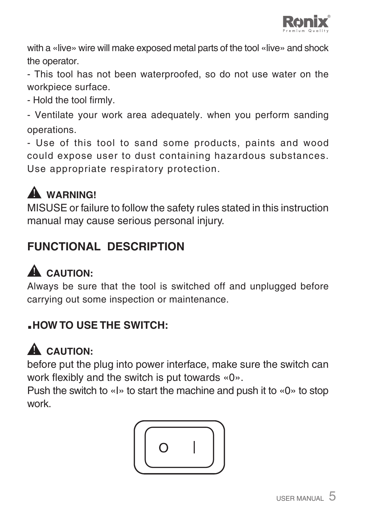

with a «live» wire will make exposed metal parts of the tool «live» and shock the operator.

- This tool has not been waterproofed, so do not use water on the workpiece surface.

- Hold the tool firmly.

- Ventilate your work area adequately. when you perform sanding operations.

- Use of this tool to sand some products, paints and wood could expose user to dust containing hazardous substances. Use appropriate respiratory protection.

# **WARNING!**

MISUSE or failure to follow the safety rules stated in this instruction manual may cause serious personal injury.

## **FUNCTIONAL DESCRIPTION**

# A CAUTION:

Always be sure that the tool is switched off and unplugged before carrying out some inspection or maintenance.

### **.HOW TO USE THE SWITCH:**

# A CAUTION:

before put the plug into power interface, make sure the switch can work flexibly and the switch is put towards «0».

Push the switch to «I» to start the machine and push it to «0» to stop work.

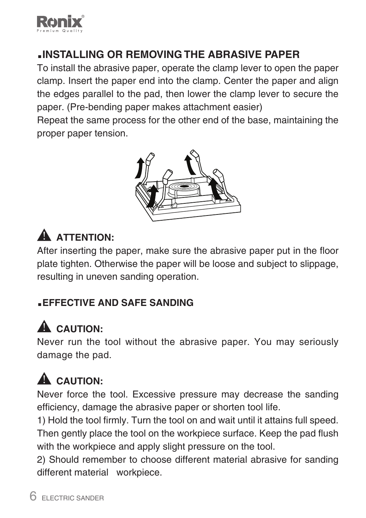

### **.INSTALLING OR REMOVING THE ABRASIVE PAPER**

To install the abrasive paper, operate the clamp lever to open the paper clamp. Insert the paper end into the clamp. Center the paper and align the edges parallel to the pad, then lower the clamp lever to secure the paper. (Pre-bending paper makes attachment easier)

Repeat the same process for the other end of the base, maintaining the proper paper tension.



# A ATTENTION·

After inserting the paper, make sure the abrasive paper put in the floor plate tighten. Otherwise the paper will be loose and subject to slippage, resulting in uneven sanding operation.

#### **.EFFECTIVE AND SAFE SANDING**

# **CAUTION:**

Never run the tool without the abrasive paper. You may seriously damage the pad.

# A CAUTION:

Never force the tool. Excessive pressure may decrease the sanding efficiency, damage the abrasive paper or shorten tool life.

1) Hold the tool firmly. Turn the tool on and wait until it attains full speed. Then gently place the tool on the workpiece surface. Keep the pad flush with the workpiece and apply slight pressure on the tool.

2) Should remember to choose different material abrasive for sanding different material workpiece.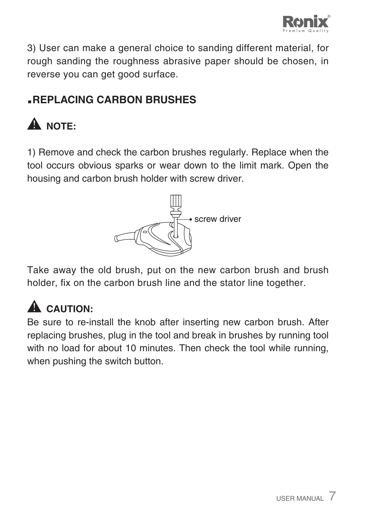

3) User can make a general choice to sanding different material, for rough sanding the roughness abrasive paper should be chosen, in reverse you can get good surface.

### **.REPLACING CARBON BRUSHES**

# **A** NOTE:

1) Remove and check the carbon brushes regularly. Replace when the tool occurs obvious sparks or wear down to the limit mark. Open the housing and carbon brush holder with screw driver.



Take away the old brush, put on the new carbon brush and brush holder, fix on the carbon brush line and the stator line together.

# A CAUTION:

Be sure to re-install the knob after inserting new carbon brush. After replacing brushes, plug in the tool and break in brushes by running tool with no load for about 10 minutes. Then check the tool while running, when pushing the switch button.